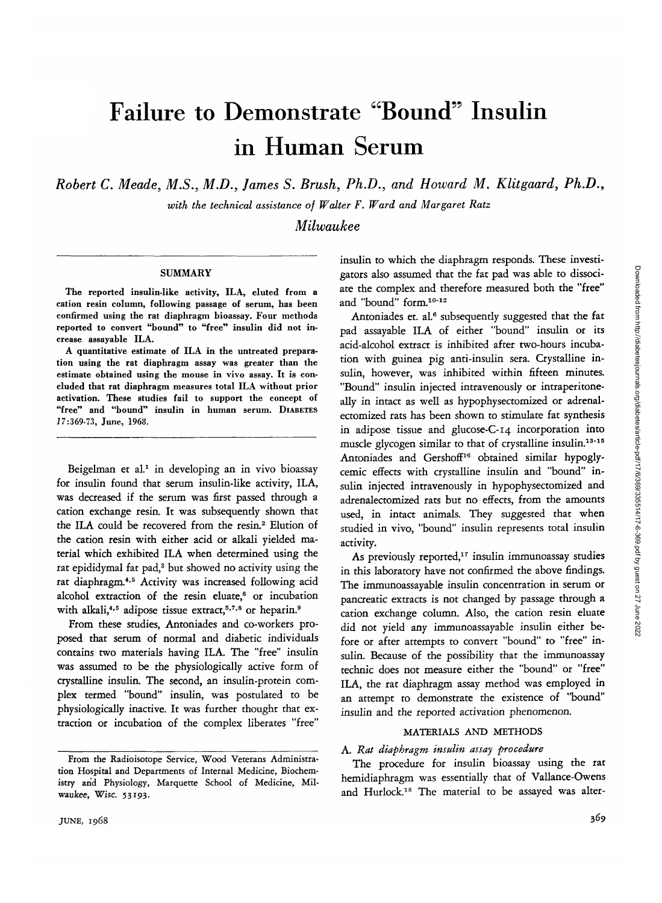Downloaded from http://diabetesjournals.org/diabetes/article-pdf/17/6/369/335514/17-6-369.pdf by guest on 27 June 2022 Downloaded from http://diabetesjournals.org/diabetes/article-pdf/17/6/369/335514/17-6-369.pdf by guest on 27 June 2022

# Failure to Demonstrate "Bound" Insulin in Human Serum

*Robert C. Meade, M.S., M.D., James S. Brush, Ph.D., and Howard M. Klitgaard, Ph.D.,*

*with the technical assistance of Walter F. Ward and Margaret Ratz*

*Milwaukee*

#### **SUMMARY**

The reported insulin-like activity, ILA, eluted from a cation resin column, following passage of serum, has been confirmed using the rat diaphragm bioassay. Four methods reported to convert "bound" to "free" insulin did not increase assayable ILA.

A quantitative estimate of ILA in the untreated preparation using the rat diaphragm assay was greater than the estimate obtained using the mouse in vivo assay. It is concluded that rat diaphragm measures total ILA without prior activation. These studies fail to support the concept of "free" and "bound" insulin in human serum. DIABETES 17:369-73, June, 1968.

Beigelman et al.<sup>1</sup> in developing an in vivo bioassay for insulin found that serum insulin-like activity, ILA, was decreased if the serum was first passed through a cation exchange resin. It was subsequently shown that the ILA could be recovered from the resin.<sup>2</sup> Elution of the cation resin with either acid or alkali yielded material which exhibited ILA when determined using the rat epididymal fat pad,<sup>3</sup> but showed no activity using the rat diaphragm.<sup>4,5</sup> Activity was increased following acid alcohol extraction of the resin eluate,<sup>6</sup> or incubation with alkali,<sup>4,5</sup> adipose tissue extract,<sup>5,7,8</sup> or heparin.<sup>9</sup>

From these studies, Antoniades and co-workers proposed that serum of normal and diabetic individuals contains two materials having ILA. The "free" insulin was assumed to be the physiologically active form of crystalline insulin. The second, an insulin-protein complex termed "bound" insulin, was postulated to be physiologically inactive. It was further thought that extraction or incubation of the complex liberates "free"

insulin to which the diaphragm responds. These investigators also assumed that the fat pad was able to dissociate the complex and therefore measured both the "free" and "bound" form.<sup>10-12</sup>

Antoniades et. al.<sup>6</sup> subsequently suggested that the fat pad assayable ILA of either "bound" insulin or its acid-alcohol extract is inhibited after two-hours incubation with guinea pig anti-insulin sera. Crystalline insulin, however, was inhibited within fifteen minutes. "Bound" insulin injected intravenously or intraperitoneally in intact as well as hypophysectomized or adrenalectomized rats has been shown to stimulate fat synthesis in adipose tissue and glucose-C-14 incorporation into muscle glycogen similar to that of crystalline insulin.<sup>13-15</sup> Antoniades and Gershoff<sup>16</sup> obtained similar hypoglycemic effects with crystalline insulin and "bound" insulin injected intravenously in hypophysectomized and adrenalectomized rats but no effects, from the amounts used, in intact animals. They suggested that when studied in vivo, "bound" insulin represents total insulin activity.

As previously reported, $17$  insulin immunoassay studies in this laboratory have not confirmed the above findings. The immunoassayable insulin concentration in serum or pancreatic extracts is not changed by passage through a cation exchange column. Also, the cation resin eluate did not yield any immunoassayable insulin either before or after attempts to convert "bound" to "free" insulin. Because of the possibility that the immunoassay technic does not measure either the "bound" or "free" ILA, the rat diaphragm assay method was employed in an attempt to demonstrate the existence of "bound" insulin and the reported activation phenomenon.

## MATERIALS AND METHODS

## A. *Rat diaphragm insulin assay procedure*

The procedure for insulin bioassay using the rat hemidiaphragm was essentially that of Vallance-Owens and Hurlock.18 The material to be assayed was alter-

From the Radioisotope Service, Wood Veterans Administration Hospital and Departments of Internal Medicine, Biochemistry and Physiology, Marquette School of Medicine, Milwaukee, Wise. 53193.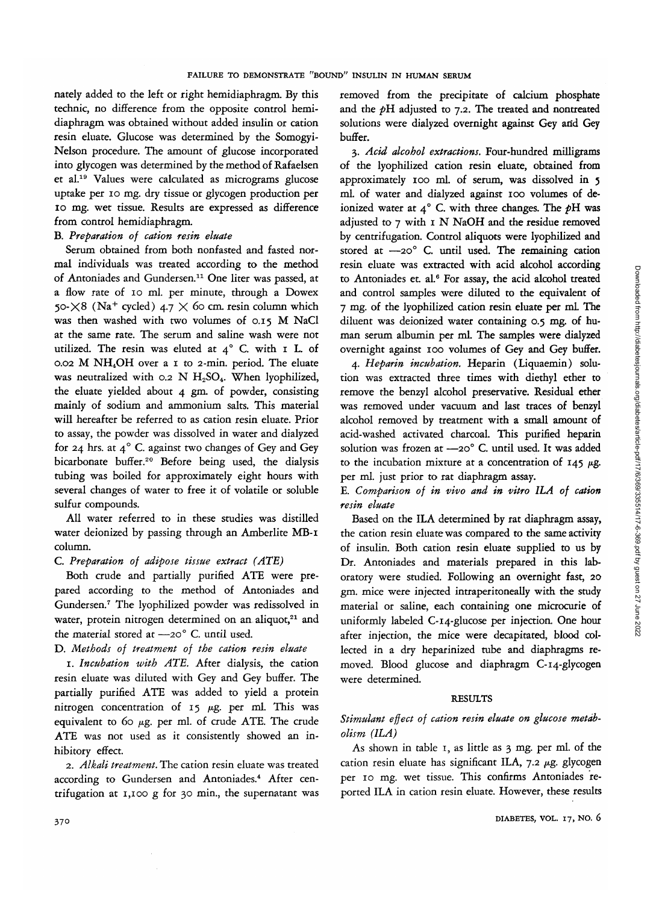nately added to the left or right hemidiaphragm. By this technic, no difference from the opposite control hemidiaphragm was obtained without added insulin or cation resin eluate. Glucose was determined by the Somogyi-Nelson procedure. The amount of glucose incorporated into glycogen was determined by the method of Rafaelsen et al.19 Values were calculated as micrograms glucose uptake per 10 mg. dry tissue or glycogen production per 10 mg. wet tissue. Results are expressed as difference from control hemidiaphragm.

## B. *Preparation of cation resin eluate*

Serum obtained from both nonfasted and fasted normal individuals was treated according to the method of Antoniades and Gundersen.<sup>11</sup> One liter was passed, at a flow rate of 10 ml. per minute, through a Dowex 50- $\times$ 8 (Na<sup>+</sup> cycled) 4.7  $\times$  60 cm. resin column which was then washed with two volumes of 0.15 M NaCl at the same rate. The serum and saline wash were not utilized. The resin was eluted at  $4^\circ$  C. with  $I$  L. of 0.02 M NH4OH over a 1 to 2-min. period. The eluate was neutralized with 0.2 N  $H_2SO_4$ . When lyophilized, the eluate yielded about 4 gm. of powder, consisting mainly of sodium and ammonium salts. This material will hereafter be referred to as cation resin eluate. Prior to assay, the powder was dissolved in water and dialyzed for 24 hrs. at  $4^{\circ}$  C. against two changes of Gey and Gey bicarbonate buffer.<sup>20</sup> Before being used, the dialysis tubing was boiled for approximately eight hours with several changes of water to free it of volatile or soluble sulfur compounds.

All water referred to in these studies was distilled water deionized by passing through an Amberlite MB-I column.

## C. *Preparation of adipose tissue extract (ATE)*

Both crude and partially purified ATE were prepared according to the method of Antoniades and Gundersen.7 The lyophilized powder was redissolved in water, protein nitrogen determined on an aliquot, $21$  and the material stored at —20° C. until used.

## D. *Methods of treatment of the cation resin eluate*

1. *Incubation with ATE.* After dialysis, the cation resin eluate was diluted with Gey and Gey buffer. The partially purified ATE was added to yield a protein nitrogen concentration of 15  $\mu$ g. per ml. This was equivalent to 60  $\mu$ g. per ml. of crude ATE. The crude ATE was not used as it consistently showed an inhibitory effect.

2. *Alkali treatment.* The cation resin eluate was treated according to Gundersen and Antoniades.<sup>4</sup> After centrifugation at 1,100 g for 30 min., the supernatant was removed from the precipitate of calcium phosphate and the pH adjusted to 7.2. The treated and nontreated solutions were dialyzed overnight against Gey arid Gey buffer.

3. *Acid alcohol extractions.* Four-hundred milligrams of the lyophilized cation resin eluate, obtained from approximately 100 ml. of serum, was dissolved in 5 ml. of water and dialyzed against 100 volumes of deionized water at 4° C. with three changes. The pH was adjusted to 7 with 1 N NaOH and the residue removed by centrifugation. Control aliquots were lyophilized and stored at  $-20^{\circ}$  C. until used. The remaining cation resin eluate was extracted with acid alcohol according to Antoniades et. al.<sup>6</sup> For assay, the acid alcohol treated and control samples were diluted to the equivalent of 7 mg. of the lyophilized cation resin eluate per mL The diluent was deionized water containing 0.5 mg. of human serum albumin per ml. The samples were dialyzed overnight against 100 volumes of Gey and Gey buffer.

4. *Heparin incubation.* Heparin (Liquaemin) solution was extracted three times with diethyl ether to remove the benzyl alcohol preservative. Residual ether was removed under vacuum and last traces of benzyl alcohol removed by treatment with a small amount of acid-washed activated charcoal. This purified heparin solution was frozen at -20° C. until used. It was added to the incubation mixture at a concentration of  $145 \mu$ g. per ml. just prior to rat diaphragm assay.

E. *Comparison of in vivo and in vitro ILA of cation resin eluate*

Based on the ILA determined by rat diaphragm assay, the cation resin eluate was compared to the same activity of insulin. Both cation resin eluate supplied to us by Dr. Antoniades and materials prepared in this laboratory were studied. Following an overnight fast, 20 gm. mice were injected intraperitoneally with the study material or saline, each containing one microcurie of uniformly labeled C-14-glucose per injection. One hour after injection, the mice were decapitated, blood collected in a dry heparinized tube and diaphragms removed. Blood glucose and diaphragm C-14-glycogen were determined.

#### RESULTS

# *Stimulant effect of cation resin eluate on glucose metabolism (ILA)*

As shown in table 1, as little as 3 mg. per ml. of the cation resin eluate has significant ILA, 7.2 µg. glycogen per 10 mg. wet tissue. This confirms Antoniades reported ILA in cation resin eluate. However, these results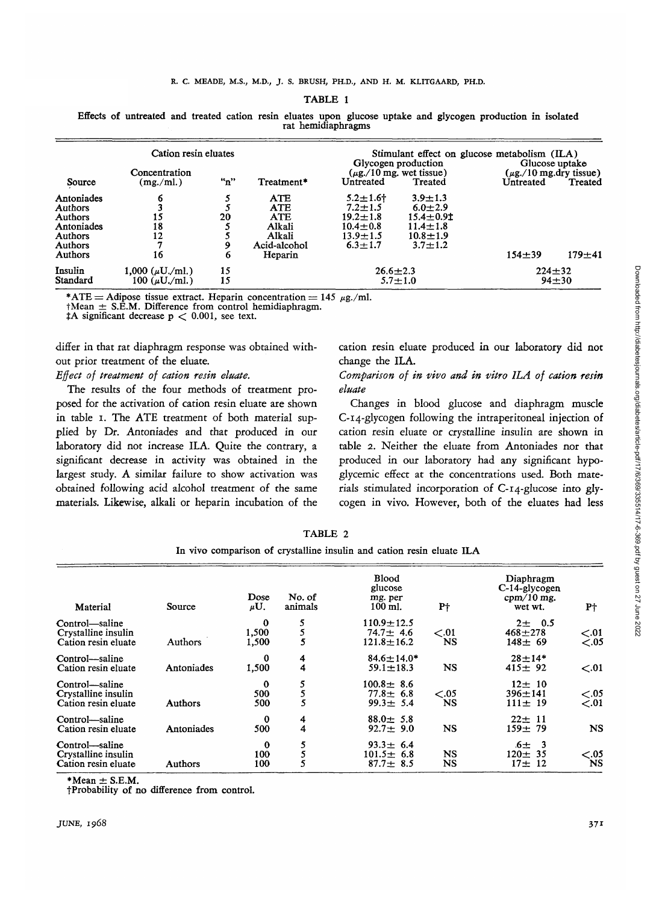#### TABLE 1

Effects of untreated and treated cation resin eluates upon glucose uptake and glycogen production in isolated rat hemidiaphragms

|                 | Cation resin eluates       |     |              |                                                      | Stimulant effect on glucose metabolism (ILA)<br>Glycogen production<br>Glucose uptake |            |                                        |  |
|-----------------|----------------------------|-----|--------------|------------------------------------------------------|---------------------------------------------------------------------------------------|------------|----------------------------------------|--|
| Source          | Concentration<br>(mg./ml.) | "n" | Treatment*   | $(\mu$ g./10 mg. wet tissue)<br>Untreated<br>Treated |                                                                                       | Untreated  | $(\mu$ g./10 mg.dry tissue)<br>Treated |  |
| Antoniades      | 6                          |     | ATE          | $5.2 \pm 1.6$                                        | $3.9 + 1.3$                                                                           |            |                                        |  |
| <b>Authors</b>  |                            |     | <b>ATE</b>   | $7.2 + 1.5$                                          | $6.0 + 2.9$                                                                           |            |                                        |  |
| Authors         | 15                         | 20  | <b>ATE</b>   | $19.2 \pm 1.8$                                       | $15.4 \pm 0.91$                                                                       |            |                                        |  |
| Antoniades      | 18                         |     | Alkali       | $10.4 + 0.8$                                         | $11.4 \pm 1.8$                                                                        |            |                                        |  |
| <b>Authors</b>  | 12                         |     | Alkali       | $13.9 \pm 1.5$                                       | $10.8 \pm 1.9$                                                                        |            |                                        |  |
| <b>Authors</b>  |                            |     | Acid-alcohol | $6.3 \pm 1.7$                                        | $3.7 \pm 1.2$                                                                         |            |                                        |  |
| <b>Authors</b>  | 16                         | 6   | Heparin      |                                                      |                                                                                       | $154 + 39$ | $179 + 41$                             |  |
| Insulin         | 1,000 $(\mu U./m!)$        | 15  |              | $26.6 \pm 2.3$                                       |                                                                                       |            | $224 + 32$                             |  |
| <b>Standard</b> | 100 ( $\mu$ U./ml.)        | 15  |              | $5.7 \pm 1.0$<br>$94 + 30$                           |                                                                                       |            |                                        |  |

\*ATE = Adipose tissue extract. Heparin concentration = 145  $\mu$ g./ml. tMean  $\pm$  S.E.M. Difference from control hemidiaphragm.  $\sharp$ A significant decrease p < 0.001, see text.

differ in that rat diaphragm response was obtained without prior treatment of the eluate.

*Effect of treatment of cation resin eluate.*

The results of the four methods of treatment proposed for the activation of cation resin eluate are shown in table i. The ATE treatment of both material supplied by Dr. Antoniades and that produced in our laboratory did not increase ILA. Quite the contrary, a significant decrease in activity was obtained in the largest study. A similar failure to show activation was obtained following acid alcohol treatment of the same materials. Likewise, alkali or heparin incubation of the cation resin eluate produced in our laboratory did not change the ILA.

*Comparison of in vivo and in vitro ILA of cation resin eluate*

Changes in blood glucose and diaphragm muscle C-14-glycogen following the intraperitoneal injection of cation resin eluate or crystalline insulin are shown in table 2. Neither the eluate from Antoniades nor that produced in our laboratory had any significant hypoglycemic effect at the concentrations used. Both materials stimulated incorporation of C-14-glucose into glycogen in vivo. However, both of the eluates had less

Material Control—saline Crystalline insulin Cation resin eluate Control—saline Cation resin eluate Control—saline Crystalline insulin Cation resin eluate Control—saline Cation resin eluate Control—saline Crystalline insulin Cation resin eluate Source Authors Antoniades Authors Antoniades Authors Dose *tiU.* 0 1,500 1,500 0 1,500  $\mathbf 0$ 500 500  $\Omega$ 500  $\Omega$ 100 100 No. of animals 5 5 5 4 4 5 5 5 4 4 5 5 5 Blood glucose mg. per 100 ml.  $110.9 + 12.5$  $74.7 + 4.6$  $121.8 \pm 16.2$ 84.6±14.0\*<br>59.1±18.3  $100.8 \pm 8.6$  $77.8 \pm 6.8$  $99.3 \pm 5.4$  $88.0 \pm 5.8$  $92.7 + 9.0$  $93.3 \pm 6.4$  $101.5 \pm 6.8$  $87.7 \pm 8.5$ Pf  $\epsilon$ .01 NS NS  $< .05$ NS NS NS NS Diaphragm C-14-glycogen cpm/10 mg. wet wt.  $2 \pm 0.5$  $468 + 278$  $148 \pm 69$  $28 \pm 14*$ <br>415 $\pm$  92  $12 + 10$ 396+141  $111 \pm 19$  $22 \pm 11$  $159 + 79$  $6\pm$  3  $120 \pm 35$  $17 \pm 12$ **Pt**  $<.01$  $\epsilon$ .05  $< 0.01$  $< 0.05$  $\dot{\leq} 01$ NS  $< 0.05$ NS

| TABLE 2 |  |
|---------|--|
|         |  |

| In vivo comparison of crystalline insulin and cation resin eluate ILA |  |  |  |  |  |  |  |  |  |
|-----------------------------------------------------------------------|--|--|--|--|--|--|--|--|--|
|-----------------------------------------------------------------------|--|--|--|--|--|--|--|--|--|

 $*Mean \pm S.E.M.$ 

fProbability of no difference from control.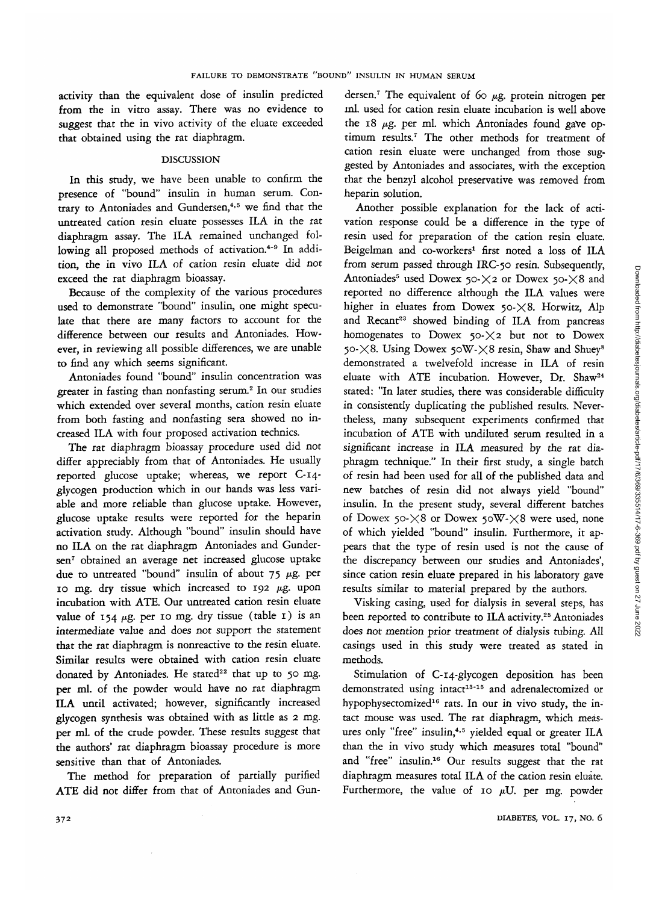activity than the equivalent dose of insulin predicted from the in vitro assay. There was no evidence to suggest that the in vivo activity of the eluate exceeded that obtained using the rat diaphragm.

#### DISCUSSION

In this study, we have been unable to confirm the presence of "bound" insulin in human serum. Contrary to Antoniades and Gundersen,<sup>4,5</sup> we find that the untreated cation resin eluate possesses ILA in the rat diaphragm assay. The ILA remained unchanged following all proposed methods of activation.<sup>4-9</sup> In addition, the in vivo ILA of cation resin eluate did not exceed the rat diaphragm bioassay.

Because of the complexity of the various procedures used to demonstrate "bound" insulin, one might speculate that there are many factors to account for the difference between our results and Antoniades. However, in reviewing all possible differences, we are unable to find any which seems significant.

Antoniades found "bound" insulin concentration was greater in fasting than nonfasting serum.<sup>2</sup> In our studies which extended over several months, cation resin eluate from both fasting and nonfasting sera showed no increased ILA with four proposed activation technics.

The rat diaphragm bioassay procedure used did not differ appreciably from that of Antoniades. He usually reported glucose uptake; whereas, we report C-14 glycogen production which in our hands was less variable and more reliable than glucose uptake. However, glucose uptake results were reported for the heparin activation study. Although "bound" insulin should have no ILA on the rat diaphragm Antoniades and Gundersen7 obtained an average net increased glucose uptake due to untreated "bound" insulin of about 75  $\mu$ g. per 10 mg. dry tissue which increased to 192  $\mu$ g. upon incubation with ATE. Our untreated cation resin eluate value of  $154 \mu g$ . per 10 mg. dry tissue (table 1) is an intermediate value and does not support the statement that the rat diaphragm is nonreactive to the resin eluate. Similar results were obtained with cation resin eluate donated by Antoniades. He stated<sup>22</sup> that up to 50 mg. per ml. of the powder would have no rat diaphragm ILA until activated; however, significantly increased glycogen synthesis was obtained with as little as 2 mg. per ml. of the crude powder. These results suggest that the authors' rat diaphragm bioassay procedure is more sensitive than that of Antoniades.

The method for preparation of partially purified ATE did not differ from that of Antoniades and Gun-

dersen.<sup>7</sup> The equivalent of 60  $\mu$ g. protein nitrogen per ml. used for cation resin eluate incubation is well above the 18  $\mu$ g. per ml. which Antoniades found gave optimum results.<sup>7</sup> The other methods for treatment of cation resin eluate were unchanged from those suggested by Antoniades and associates, with the exception that the benzyl alcohol preservative was removed from heparin solution.

Another possible explanation for the lack of activation response could be a difference in the type of resin used for preparation of the cation resin eluate. Beigelman and co-workers<sup>1</sup> first noted a loss of ILA from serum passed through IRC-50 resin. Subsequently, Antoniades<sup>5</sup> used Dowex 50-X2 or Dowex 50-X8 and reported no difference although the ILA values were higher in eluates from Dowex  $50-\times 8$ . Horwitz, Alp and Recant<sup>23</sup> showed binding of ILA from pancreas homogenates to Dowex  $50-\times 2$  but not to Dowex 50- $\times$ 8. Using Dowex 50W- $\times$ 8 resin, Shaw and Shuev<sup>8</sup> demonstrated a twelvefold increase in ILA of resin eluate with ATE incubation. However, Dr. Shaw<sup>24</sup> stated: "In later studies, there was considerable difficulty in consistently duplicating the published results. Nevertheless, many subsequent experiments confirmed that incubation of ATE with undiluted serum resulted in a significant increase in ILA measured by the rat diaphragm technique." In their first study, a single batch of resin had been used for all of the published data and new batches of resin did not always yield "bound" insulin. In the present study, several different batches of Dowex 50- $\times$ 8 or Dowex 50W- $\times$ 8 were used, none of which yielded "bound" insulin. Furthermore, it appears that the type of resin used is not the cause of the discrepancy between our studies and Antoniades', since cation resin eluate prepared in his laboratory gave results similar to material prepared by the authors.

Visking casing, used for dialysis in several steps, has been reported to contribute to ILA activity.<sup>25</sup> Antoniades does not mention prior treatment of dialysis tubing. All casings used in this study were treated as stated in methods.

Stimulation of C-14-glycogen deposition has been demonstrated using intact<sup>13-15</sup> and adrenalectomized or hypophysectomized<sup>16</sup> rats. In our in vivo study, the intact mouse was used. The rat diaphragm, which measures only "free" insulin,<sup>4,5</sup> yielded equal or greater ILA than the in vivo study which measures total "bound" and "free" insulin.<sup>16</sup> Our results suggest that the rat diaphragm measures total ILA of the cation resin eluate. Furthermore, the value of 10  $\mu$ U. per mg. powder